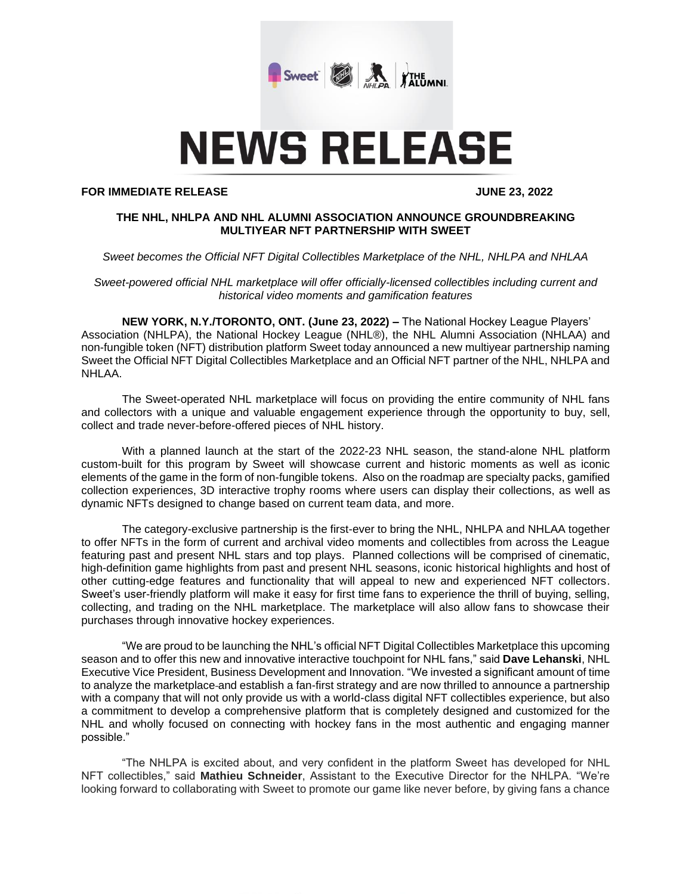

# **NEWS RELEASE**

#### **FOR IMMEDIATE RELEASE JUNE 23, 2022**

## **THE NHL, NHLPA AND NHL ALUMNI ASSOCIATION ANNOUNCE GROUNDBREAKING MULTIYEAR NFT PARTNERSHIP WITH SWEET**

#### *Sweet becomes the Official NFT Digital Collectibles Marketplace of the NHL, NHLPA and NHLAA*

*Sweet-powered official NHL marketplace will offer officially-licensed collectibles including current and historical video moments and gamification features*

**NEW YORK, N.Y./TORONTO, ONT. (June 23, 2022) –** The National Hockey League Players' Association (NHLPA), the National Hockey League (NHL®), the NHL Alumni Association (NHLAA) and non-fungible token (NFT) distribution platform Sweet today announced a new multiyear partnership naming Sweet the Official NFT Digital Collectibles Marketplace and an Official NFT partner of the NHL, NHLPA and NHLAA.

The Sweet-operated NHL marketplace will focus on providing the entire community of NHL fans and collectors with a unique and valuable engagement experience through the opportunity to buy, sell, collect and trade never-before-offered pieces of NHL history.

With a planned launch at the start of the 2022-23 NHL season, the stand-alone NHL platform custom-built for this program by Sweet will showcase current and historic moments as well as iconic elements of the game in the form of non-fungible tokens. Also on the roadmap are specialty packs, gamified collection experiences, 3D interactive trophy rooms where users can display their collections, as well as dynamic NFTs designed to change based on current team data, and more.

The category-exclusive partnership is the first-ever to bring the NHL, NHLPA and NHLAA together to offer NFTs in the form of current and archival video moments and collectibles from across the League featuring past and present NHL stars and top plays. Planned collections will be comprised of cinematic, high-definition game highlights from past and present NHL seasons, iconic historical highlights and host of other cutting-edge features and functionality that will appeal to new and experienced NFT collectors. Sweet's user-friendly platform will make it easy for first time fans to experience the thrill of buying, selling, collecting, and trading on the NHL marketplace. The marketplace will also allow fans to showcase their purchases through innovative hockey experiences.

"We are proud to be launching the NHL's official NFT Digital Collectibles Marketplace this upcoming season and to offer this new and innovative interactive touchpoint for NHL fans," said **Dave Lehanski**, NHL Executive Vice President, Business Development and Innovation. "We invested a significant amount of time to analyze the marketplace and establish a fan-first strategy and are now thrilled to announce a partnership with a company that will not only provide us with a world-class digital NFT collectibles experience, but also a commitment to develop a comprehensive platform that is completely designed and customized for the NHL and wholly focused on connecting with hockey fans in the most authentic and engaging manner possible."

"The NHLPA is excited about, and very confident in the platform Sweet has developed for NHL NFT collectibles," said **Mathieu Schneider**, Assistant to the Executive Director for the NHLPA. "We're looking forward to collaborating with Sweet to promote our game like never before, by giving fans a chance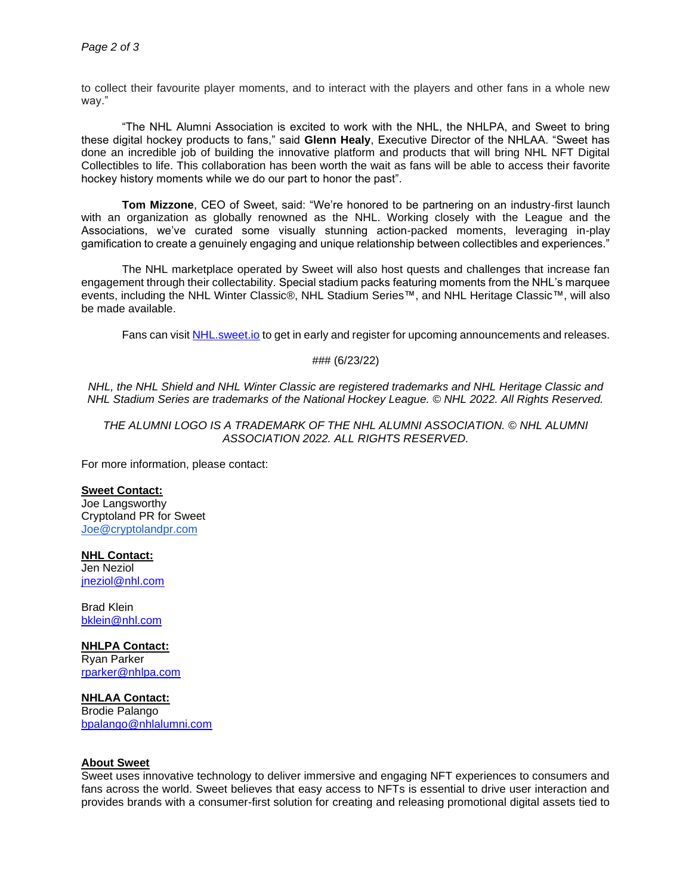to collect their favourite player moments, and to interact with the players and other fans in a whole new way."

"The NHL Alumni Association is excited to work with the NHL, the NHLPA, and Sweet to bring these digital hockey products to fans," said **Glenn Healy**, Executive Director of the NHLAA. "Sweet has done an incredible job of building the innovative platform and products that will bring NHL NFT Digital Collectibles to life. This collaboration has been worth the wait as fans will be able to access their favorite hockey history moments while we do our part to honor the past".

**Tom Mizzone**, CEO of Sweet, said: "We're honored to be partnering on an industry-first launch with an organization as globally renowned as the NHL. Working closely with the League and the Associations, we've curated some visually stunning action-packed moments, leveraging in-play gamification to create a genuinely engaging and unique relationship between collectibles and experiences."

The NHL marketplace operated by Sweet will also host quests and challenges that increase fan engagement through their collectability. Special stadium packs featuring moments from the NHL's marquee events, including the NHL Winter Classic®, NHL Stadium Series™, and NHL Heritage Classic™, will also be made available.

Fans can visit [NHL.sweet.io](https://nhl.sweet.io/) to get in early and register for upcoming announcements and releases.

## ### (6/23/22)

*NHL, the NHL Shield and NHL Winter Classic are registered trademarks and NHL Heritage Classic and NHL Stadium Series are trademarks of the National Hockey League. © NHL 2022. All Rights Reserved.*

*THE ALUMNI LOGO IS A TRADEMARK OF THE NHL ALUMNI ASSOCIATION. © NHL ALUMNI ASSOCIATION 2022. ALL RIGHTS RESERVED.*

For more information, please contact:

#### **Sweet Contact:**

Joe Langsworthy Cryptoland PR for Sweet [Joe@cryptolandpr.com](mailto:Joe@cryptolandpr.com)

#### **NHL Contact:**

Jen Neziol [jneziol@nhl.com](mailto:jneziol@nhl.com)

Brad Klein [bklein@nhl.com](mailto:bklein@nhl.com)

#### **NHLPA Contact:**

Ryan Parker [rparker@nhlpa.com](mailto:rparker@nhlpa.com)

## **NHLAA Contact:**

Brodie Palango [bpalango@nhlalumni.com](mailto:bpalango@nhlalumni.com)

#### **About Sweet**

Sweet uses innovative technology to deliver immersive and engaging NFT experiences to consumers and fans across the world. Sweet believes that easy access to NFTs is essential to drive user interaction and provides brands with a consumer-first solution for creating and releasing promotional digital assets tied to